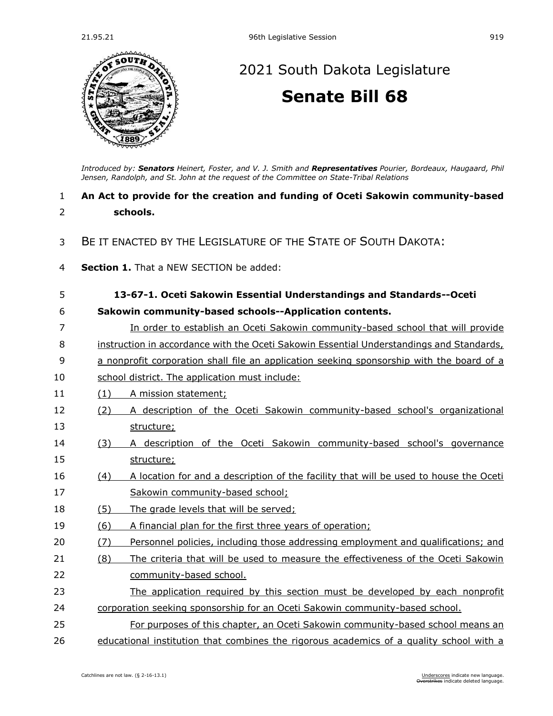

# 21.95.21 96th Legislative Session 919<br>  $\frac{1}{2}$ <br>  $\frac{1}{2}$ <br>  $\frac{1}{2}$ <br>  $\frac{1}{2}$ <br>  $\frac{1}{2}$ <br>  $\frac{1}{2}$ <br>  $\frac{1}{2}$ <br>  $\frac{1}{2}$ <br>  $\frac{1}{2}$ <br>  $\frac{1}{2}$ <br>  $\frac{1}{2}$ <br>  $\frac{1}{2}$ <br>  $\frac{1}{2}$ <br>  $\frac{1}{2}$ <br>  $\frac{1}{2}$ <br>  $\frac{1}{2}$ <br>  $\frac{1}{$ [2021 South Dakota Legislature](https://sdlegislature.gov/Session/Bills/44) **[Senate Bill 68](https://sdlegislature.gov/Session/Bill/21812)**

*Introduced by: Senators [Heinert, Foster, a](https://sdlegislature.gov/Legislators/Profile/1801/Detail)nd [V. J. Smith](https://sdlegislature.gov/Legislators/Profile/1853/Detail) and Representatives [Pourier, Bordeaux,](https://sdlegislature.gov/Legislators/Profile/1839/Detail) [Haugaard, Phil](https://sdlegislature.gov/Legislators/Profile/1799/Detail)  [Jensen, Randolph, a](https://sdlegislature.gov/Legislators/Profile/1805/Detail)nd [St. John](https://sdlegislature.gov/Legislators/Profile/1855/Detail) at the request of the Committee on State-Tribal Relations*

### 1 **An Act to provide for the creation and funding of Oceti Sakowin community-based**  2 **schools.**

- 3 BE IT ENACTED BY THE LEGISLATURE OF THE STATE OF SOUTH DAKOTA:
- 4 **Section 1.** That a NEW SECTION be added:

| 5  |     | 13-67-1. Oceti Sakowin Essential Understandings and Standards--Oceti                      |
|----|-----|-------------------------------------------------------------------------------------------|
|    |     |                                                                                           |
| 6  |     | Sakowin community-based schools--Application contents.                                    |
| 7  |     | In order to establish an Oceti Sakowin community-based school that will provide           |
| 8  |     | instruction in accordance with the Oceti Sakowin Essential Understandings and Standards,  |
| 9  |     | a nonprofit corporation shall file an application seeking sponsorship with the board of a |
| 10 |     | school district. The application must include:                                            |
| 11 | (1) | A mission statement;                                                                      |
| 12 | (2) | A description of the Oceti Sakowin community-based school's organizational                |
| 13 |     | structure;                                                                                |
| 14 | (3) | A description of the Oceti Sakowin community-based school's governance                    |
| 15 |     | structure;                                                                                |
| 16 | (4) | A location for and a description of the facility that will be used to house the Oceti     |
| 17 |     | Sakowin community-based school;                                                           |
| 18 | (5) | The grade levels that will be served;                                                     |
| 19 | (6) | A financial plan for the first three years of operation;                                  |
| 20 | (7) | Personnel policies, including those addressing employment and qualifications; and         |
| 21 | (8) | The criteria that will be used to measure the effectiveness of the Oceti Sakowin          |
| 22 |     | community-based school.                                                                   |
| 23 |     | The application required by this section must be developed by each nonprofit              |
| 24 |     | corporation seeking sponsorship for an Oceti Sakowin community-based school.              |
| 25 |     | For purposes of this chapter, an Oceti Sakowin community-based school means an            |
| 26 |     | educational institution that combines the rigorous academics of a quality school with a   |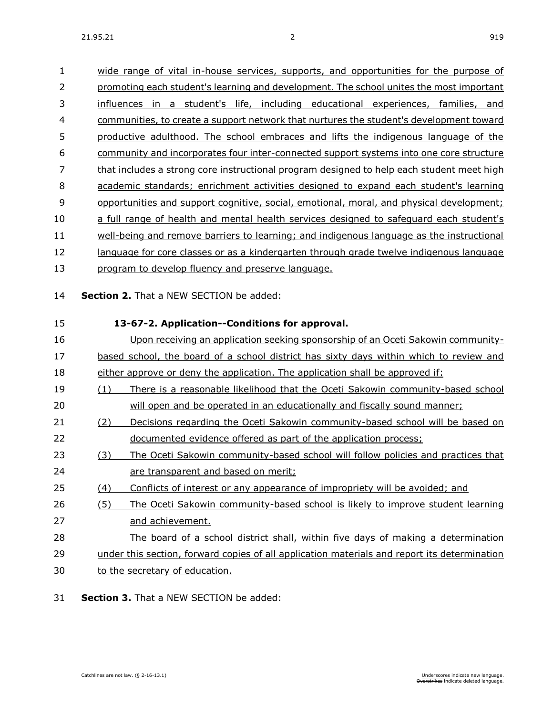| 1        | wide range of vital in-house services, supports, and opportunities for the purpose of        |
|----------|----------------------------------------------------------------------------------------------|
| 2        | promoting each student's learning and development. The school unites the most important      |
| 3        | influences in a student's life, including educational experiences, families, and             |
| 4        | communities, to create a support network that nurtures the student's development toward      |
| 5        | productive adulthood. The school embraces and lifts the indigenous language of the           |
| 6        | community and incorporates four inter-connected support systems into one core structure      |
| 7        | that includes a strong core instructional program designed to help each student meet high    |
| 8        | academic standards; enrichment activities designed to expand each student's learning         |
| 9        | opportunities and support cognitive, social, emotional, moral, and physical development;     |
| 10       | a full range of health and mental health services designed to safeguard each student's       |
| 11       | well-being and remove barriers to learning; and indigenous language as the instructional     |
| 12       | language for core classes or as a kindergarten through grade twelve indigenous language      |
| 13       | program to develop fluency and preserve language.                                            |
| 14<br>15 | Section 2. That a NEW SECTION be added:<br>13-67-2. Application--Conditions for approval.    |
| 16       | Upon receiving an application seeking sponsorship of an Oceti Sakowin community-             |
| 17       | based school, the board of a school district has sixty days within which to review and       |
| 18       | either approve or deny the application. The application shall be approved if:                |
| 19       | There is a reasonable likelihood that the Oceti Sakowin community-based school<br>(1)        |
| 20       | will open and be operated in an educationally and fiscally sound manner;                     |
| 21       | Decisions regarding the Oceti Sakowin community-based school will be based on<br>(2)         |
| 22       | documented evidence offered as part of the application process;                              |
| 23       | The Oceti Sakowin community-based school will follow policies and practices that<br>(3)      |
| 24       | are transparent and based on merit;                                                          |
| 25       | (4)<br>Conflicts of interest or any appearance of impropriety will be avoided; and           |
| 26       | (5)<br>The Oceti Sakowin community-based school is likely to improve student learning        |
| 27       | and achievement.                                                                             |
| 28       | The board of a school district shall, within five days of making a determination             |
| 29       | under this section, forward copies of all application materials and report its determination |
| 30       | to the secretary of education.                                                               |
|          |                                                                                              |

31 **Section 3.** That a NEW SECTION be added: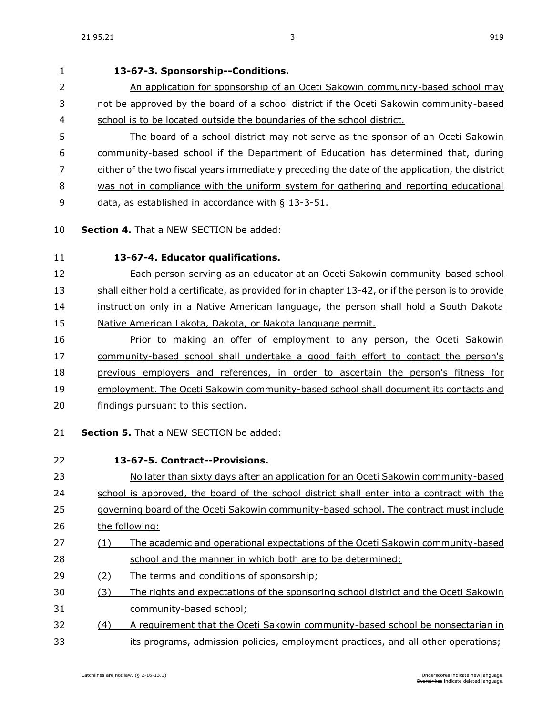# **13-67-3. Sponsorship--Conditions.** 2 An application for sponsorship of an Oceti Sakowin community-based school may not be approved by the board of a school district if the Oceti Sakowin community-based school is to be located outside the boundaries of the school district. The board of a school district may not serve as the sponsor of an Oceti Sakowin community-based school if the Department of Education has determined that, during either of the two fiscal years immediately preceding the date of the application, the district was not in compliance with the uniform system for gathering and reporting educational data, as established in accordance with § [13-3-51.](https://sdlegislature.gov/Statutes/Codified_Laws/DisplayStatute.aspx?Type=Statute&Statute=13-3-51) **Section 4.** That a NEW SECTION be added: **13-67-4. Educator qualifications.** Each person serving as an educator at an Oceti Sakowin community-based school 13 shall either hold a certificate, as provided for in chapter [13-42,](https://sdlegislature.gov/Statutes/Codified_Laws/DisplayStatute.aspx?Type=Statute&Statute=13-42) or if the person is to provide instruction only in a Native American language, the person shall hold a South Dakota 15 Native American Lakota, Dakota, or Nakota language permit. Prior to making an offer of employment to any person, the Oceti Sakowin community-based school shall undertake a good faith effort to contact the person's previous employers and references, in order to ascertain the person's fitness for employment. The Oceti Sakowin community-based school shall document its contacts and findings pursuant to this section. **Section 5.** That a NEW SECTION be added: **13-67-5. Contract--Provisions.** No later than sixty days after an application for an Oceti Sakowin community-based school is approved, the board of the school district shall enter into a contract with the governing board of the Oceti Sakowin community-based school. The contract must include the following: (1) The academic and operational expectations of the Oceti Sakowin community-based school and the manner in which both are to be determined; (2) The terms and conditions of sponsorship; (3) The rights and expectations of the sponsoring school district and the Oceti Sakowin community-based school; (4) A requirement that the Oceti Sakowin community-based school be nonsectarian in its programs, admission policies, employment practices, and all other operations;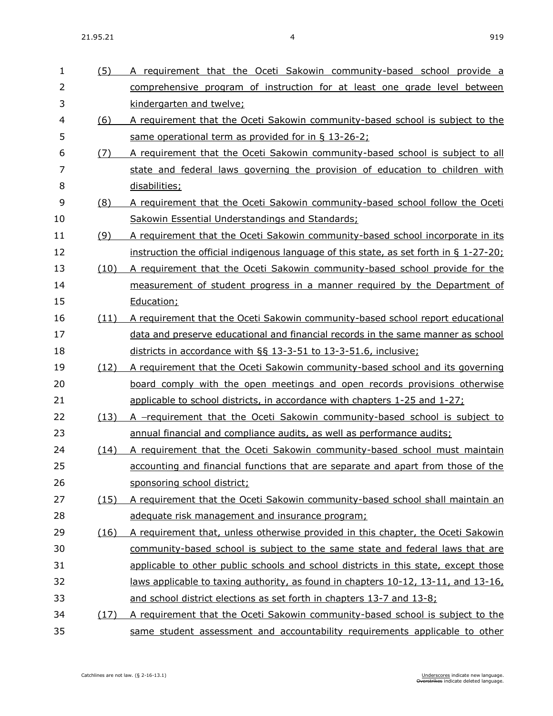(5) A requirement that the Oceti Sakowin community-based school provide a

| $\overline{2}$ |      | comprehensive program of instruction for at least one grade level between              |
|----------------|------|----------------------------------------------------------------------------------------|
| 3              |      | kindergarten and twelve;                                                               |
| 4              | (6)  | A requirement that the Oceti Sakowin community-based school is subject to the          |
| 5              |      | same operational term as provided for in § 13-26-2;                                    |
| 6              | (7)  | A requirement that the Oceti Sakowin community-based school is subject to all          |
| $\overline{7}$ |      | state and federal laws governing the provision of education to children with           |
| 8              |      | disabilities;                                                                          |
| 9              | (8)  | A requirement that the Oceti Sakowin community-based school follow the Oceti           |
| 10             |      | Sakowin Essential Understandings and Standards;                                        |
| 11             | (9)  | A requirement that the Oceti Sakowin community-based school incorporate in its         |
| 12             |      | instruction the official indigenous language of this state, as set forth in § 1-27-20; |
| 13             | (10) | A requirement that the Oceti Sakowin community-based school provide for the            |
| 14             |      | measurement of student progress in a manner required by the Department of              |
| 15             |      | Education;                                                                             |
| 16             | (11) | A requirement that the Oceti Sakowin community-based school report educational         |
| 17             |      | data and preserve educational and financial records in the same manner as school       |
| 18             |      | districts in accordance with §§ 13-3-51 to 13-3-51.6, inclusive;                       |
| 19             | (12) | A requirement that the Oceti Sakowin community-based school and its governing          |
| 20             |      | board comply with the open meetings and open records provisions otherwise              |
| 21             |      | applicable to school districts, in accordance with chapters 1-25 and 1-27;             |
| 22             | (13) | A -requirement that the Oceti Sakowin community-based school is subject to             |
| 23             |      | annual financial and compliance audits, as well as performance audits;                 |
| 24             | (14) | A requirement that the Oceti Sakowin community-based school must maintain              |
| 25             |      | accounting and financial functions that are separate and apart from those of the       |
| 26             |      | sponsoring school district;                                                            |
| 27             | (15) | A requirement that the Oceti Sakowin community-based school shall maintain an          |
| 28             |      | adequate risk management and insurance program;                                        |
| 29             | (16) | A requirement that, unless otherwise provided in this chapter, the Oceti Sakowin       |
| 30             |      | community-based school is subject to the same state and federal laws that are          |
| 31             |      | applicable to other public schools and school districts in this state, except those    |
| 32             |      | laws applicable to taxing authority, as found in chapters 10-12, 13-11, and 13-16,     |
| 33             |      | and school district elections as set forth in chapters 13-7 and 13-8;                  |
| 34             | (17) | A requirement that the Oceti Sakowin community-based school is subject to the          |
| 35             |      | same student assessment and accountability requirements applicable to other            |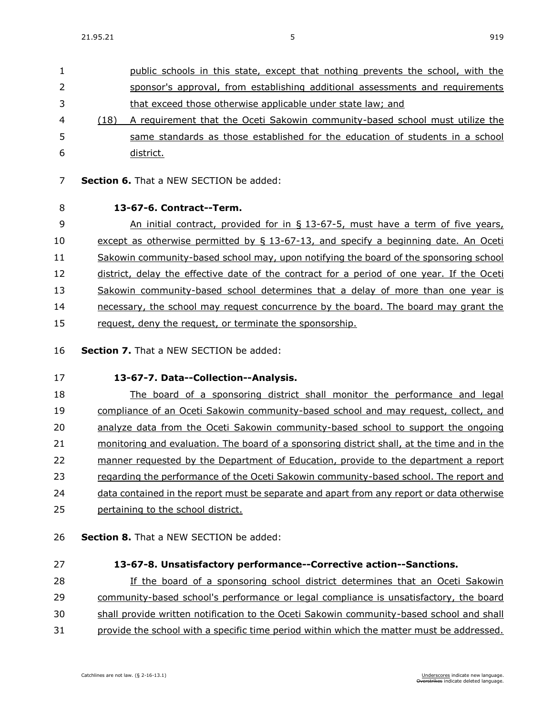- public schools in this state, except that nothing prevents the school, with the sponsor's approval, from establishing additional assessments and requirements that exceed those otherwise applicable under state law; and (18) A requirement that the Oceti Sakowin community-based school must utilize the same standards as those established for the education of students in a school district.
- **Section 6.** That a NEW SECTION be added:
- 

#### **13-67-6. Contract--Term.**

 An initial contract, provided for in § 13-67-5, must have a term of five years, except as otherwise permitted by § 13-67-13, and specify a beginning date. An Oceti Sakowin community-based school may, upon notifying the board of the sponsoring school 12 district, delay the effective date of the contract for a period of one year. If the Oceti Sakowin community-based school determines that a delay of more than one year is necessary, the school may request concurrence by the board. The board may grant the 15 request, deny the request, or terminate the sponsorship.

- **Section 7.** That a NEW SECTION be added:
- **13-67-7. Data--Collection--Analysis.**

 The board of a sponsoring district shall monitor the performance and legal 19 compliance of an Oceti Sakowin community-based school and may request, collect, and analyze data from the Oceti Sakowin community-based school to support the ongoing monitoring and evaluation. The board of a sponsoring district shall, at the time and in the manner requested by the Department of Education, provide to the department a report regarding the performance of the Oceti Sakowin community-based school. The report and data contained in the report must be separate and apart from any report or data otherwise

- pertaining to the school district.
- **Section 8.** That a NEW SECTION be added:
- 

### **13-67-8. Unsatisfactory performance--Corrective action--Sanctions.**

If the board of a sponsoring school district determines that an Oceti Sakowin

community-based school's performance or legal compliance is unsatisfactory, the board

shall provide written notification to the Oceti Sakowin community-based school and shall

provide the school with a specific time period within which the matter must be addressed.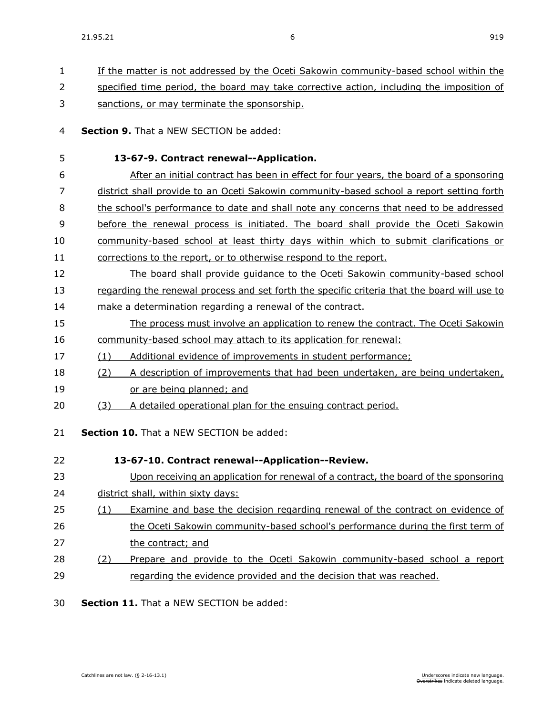| $\mathbf{1}$ | If the matter is not addressed by the Oceti Sakowin community-based school within the        |
|--------------|----------------------------------------------------------------------------------------------|
| 2            | specified time period, the board may take corrective action, including the imposition of     |
| 3            | sanctions, or may terminate the sponsorship.                                                 |
| 4            | <b>Section 9.</b> That a NEW SECTION be added:                                               |
| 5            | 13-67-9. Contract renewal--Application.                                                      |
| 6            | After an initial contract has been in effect for four years, the board of a sponsoring       |
| 7            | district shall provide to an Oceti Sakowin community-based school a report setting forth     |
| 8            | the school's performance to date and shall note any concerns that need to be addressed       |
| 9            | before the renewal process is initiated. The board shall provide the Oceti Sakowin           |
| 10           | community-based school at least thirty days within which to submit clarifications or         |
| 11           | corrections to the report, or to otherwise respond to the report.                            |
| 12           | The board shall provide quidance to the Oceti Sakowin community-based school                 |
| 13           | regarding the renewal process and set forth the specific criteria that the board will use to |
| 14           | make a determination regarding a renewal of the contract.                                    |
| 15           | The process must involve an application to renew the contract. The Oceti Sakowin             |
| 16           | community-based school may attach to its application for renewal:                            |
| 17           | Additional evidence of improvements in student performance;<br>(1)                           |
| 18           | A description of improvements that had been undertaken, are being undertaken,<br>(2)         |
| 19           | or are being planned; and                                                                    |
| 20           | A detailed operational plan for the ensuing contract period.<br>(3)                          |
| 21           | Section 10. That a NEW SECTION be added:                                                     |
| 22           | 13-67-10. Contract renewal--Application--Review.                                             |
| 23           | Upon receiving an application for renewal of a contract, the board of the sponsoring         |
| 24           | district shall, within sixty days:                                                           |
| 25           | Examine and base the decision regarding renewal of the contract on evidence of<br>(1)        |
| 26           | the Oceti Sakowin community-based school's performance during the first term of              |
| 27           | the contract; and                                                                            |
| 28           | Prepare and provide to the Oceti Sakowin community-based school a report<br>(2)              |
| 29           | regarding the evidence provided and the decision that was reached.                           |
|              |                                                                                              |

30 **Section 11.** That a NEW SECTION be added: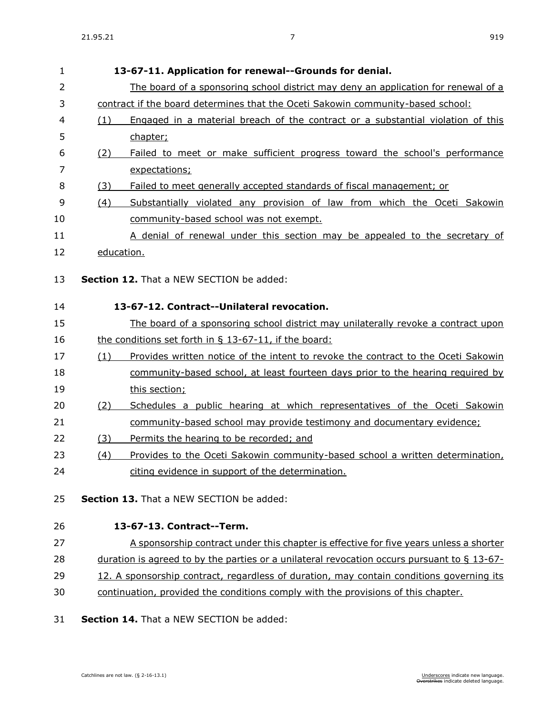| $\mathbf{1}$   |            | 13-67-11. Application for renewal--Grounds for denial.                                      |
|----------------|------------|---------------------------------------------------------------------------------------------|
| $\overline{2}$ |            | The board of a sponsoring school district may deny an application for renewal of a          |
| 3              |            | contract if the board determines that the Oceti Sakowin community-based school:             |
| 4              | (1)        | Engaged in a material breach of the contract or a substantial violation of this             |
| 5              |            | chapter;                                                                                    |
| 6              | (2)        | Failed to meet or make sufficient progress toward the school's performance                  |
| 7              |            | expectations;                                                                               |
| 8              | (3)        | Failed to meet generally accepted standards of fiscal management; or                        |
| 9              | (4)        | Substantially violated any provision of law from which the Oceti Sakowin                    |
| 10             |            | community-based school was not exempt.                                                      |
| 11             |            | A denial of renewal under this section may be appealed to the secretary of                  |
| 12             | education. |                                                                                             |
| 13             |            | <b>Section 12.</b> That a NEW SECTION be added:                                             |
|                |            |                                                                                             |
| 14             |            | 13-67-12. Contract--Unilateral revocation.                                                  |
| 15             |            | The board of a sponsoring school district may unilaterally revoke a contract upon           |
| 16             |            | the conditions set forth in $\S$ 13-67-11, if the board:                                    |
| 17             | (1)        | Provides written notice of the intent to revoke the contract to the Oceti Sakowin           |
| 18             |            | community-based school, at least fourteen days prior to the hearing required by             |
| 19             |            | this section;                                                                               |
| 20             | (2)        | Schedules a public hearing at which representatives of the Oceti Sakowin                    |
| 21             |            | community-based school may provide testimony and documentary evidence;                      |
| 22             | (3)        | Permits the hearing to be recorded; and                                                     |
| 23             | (4)        | Provides to the Oceti Sakowin community-based school a written determination,               |
| 24             |            | citing evidence in support of the determination.                                            |
| 25             |            | Section 13. That a NEW SECTION be added:                                                    |
|                |            |                                                                                             |
| 26             |            | 13-67-13. Contract--Term.                                                                   |
| 27             |            | A sponsorship contract under this chapter is effective for five years unless a shorter      |
| 28             |            | duration is agreed to by the parties or a unilateral revocation occurs pursuant to § 13-67- |
| 29             |            | 12. A sponsorship contract, regardless of duration, may contain conditions governing its    |
| 30             |            | continuation, provided the conditions comply with the provisions of this chapter.           |
|                |            |                                                                                             |

### 31 **Section 14.** That a NEW SECTION be added: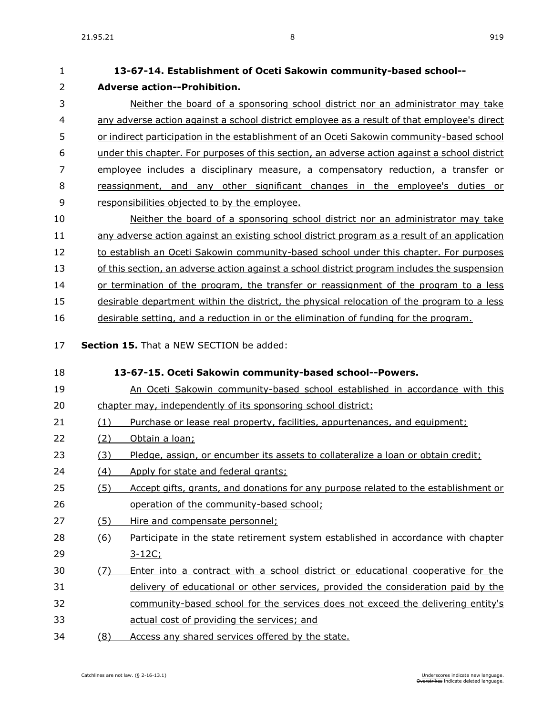**Adverse action--Prohibition.**

| 3        | Neither the board of a sponsoring school district nor an administrator may take                            |
|----------|------------------------------------------------------------------------------------------------------------|
| 4        | any adverse action against a school district employee as a result of that employee's direct                |
| 5        | or indirect participation in the establishment of an Oceti Sakowin community-based school                  |
| 6        | under this chapter. For purposes of this section, an adverse action against a school district              |
| 7        | employee includes a disciplinary measure, a compensatory reduction, a transfer or                          |
| 8        | reassignment, and any other significant changes in the employee's duties or                                |
| 9        | responsibilities objected to by the employee.                                                              |
| 10       | Neither the board of a sponsoring school district nor an administrator may take                            |
| 11       | any adverse action against an existing school district program as a result of an application               |
| 12       | to establish an Oceti Sakowin community-based school under this chapter. For purposes                      |
| 13       | of this section, an adverse action against a school district program includes the suspension               |
| 14       | or termination of the program, the transfer or reassignment of the program to a less                       |
| 15       | desirable department within the district, the physical relocation of the program to a less                 |
| 16       | desirable setting, and a reduction in or the elimination of funding for the program.                       |
| 17<br>18 | <b>Section 15.</b> That a NEW SECTION be added:<br>13-67-15. Oceti Sakowin community-based school--Powers. |
| 19       | An Oceti Sakowin community-based school established in accordance with this                                |
| 20       | chapter may, independently of its sponsoring school district:                                              |
| 21       | (1)<br>Purchase or lease real property, facilities, appurtenances, and equipment;                          |
| 22       | (2)<br>Obtain a loan;                                                                                      |
| 23       | Pledge, assign, or encumber its assets to collateralize a loan or obtain credit;<br><u>(3)</u>             |
| 24       | (4)<br>Apply for state and federal grants;                                                                 |
| 25       | Accept gifts, grants, and donations for any purpose related to the establishment or<br>(5)                 |
| 26       | operation of the community-based school;                                                                   |
| 27       | (5)<br>Hire and compensate personnel;                                                                      |
| 28       | Participate in the state retirement system established in accordance with chapter<br>(6)                   |
| 29       | 3-12C;                                                                                                     |
|          |                                                                                                            |
| 30       | Enter into a contract with a school district or educational cooperative for the<br>(7)                     |
| 31       | delivery of educational or other services, provided the consideration paid by the                          |
| 32       | community-based school for the services does not exceed the delivering entity's                            |

34 (8) Access any shared services offered by the state.

**13-67-14. Establishment of Oceti Sakowin community-based school--**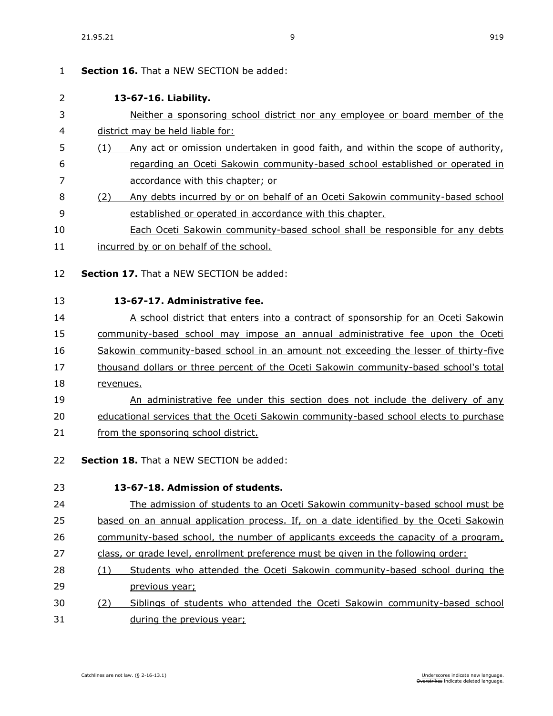| $\mathbf{1}$ | Section 16. That a NEW SECTION be added:                                                |
|--------------|-----------------------------------------------------------------------------------------|
| 2            | 13-67-16. Liability.                                                                    |
| 3            | Neither a sponsoring school district nor any employee or board member of the            |
| 4            | district may be held liable for:                                                        |
| 5            | Any act or omission undertaken in good faith, and within the scope of authority,<br>(1) |
| 6            | regarding an Oceti Sakowin community-based school established or operated in            |
| 7            | accordance with this chapter; or                                                        |
| 8            | Any debts incurred by or on behalf of an Oceti Sakowin community-based school<br>(2)    |
| 9            | established or operated in accordance with this chapter.                                |
| 10           | <b>Each Oceti Sakowin community-based school shall be responsible for any debts</b>     |
| 11           | incurred by or on behalf of the school.                                                 |
| 12           | Section 17. That a NEW SECTION be added:                                                |
| 13           | 13-67-17. Administrative fee.                                                           |
| 14           | A school district that enters into a contract of sponsorship for an Oceti Sakowin       |
| 15           | community-based school may impose an annual administrative fee upon the Oceti           |
| 16           | Sakowin community-based school in an amount not exceeding the lesser of thirty-five     |
| 17           | thousand dollars or three percent of the Oceti Sakowin community-based school's total   |
| 18           | revenues.                                                                               |
| 19           | An administrative fee under this section does not include the delivery of any           |
| 20           | educational services that the Oceti Sakowin community-based school elects to purchase   |
| 21           | from the sponsoring school district.                                                    |
| 22           | <b>Section 18.</b> That a NEW SECTION be added:                                         |
| 23           | 13-67-18. Admission of students.                                                        |
| 24           | The admission of students to an Oceti Sakowin community-based school must be            |
| 25           | based on an annual application process. If, on a date identified by the Oceti Sakowin   |
| 26           | community-based school, the number of applicants exceeds the capacity of a program,     |
| 27           | class, or grade level, enrollment preference must be given in the following order:      |
| 28           | Students who attended the Oceti Sakowin community-based school during the<br>(1)        |
| 29           | previous year;                                                                          |
| 30           | Siblings of students who attended the Oceti Sakowin community-based school<br>(2)       |
| 31           | during the previous year;                                                               |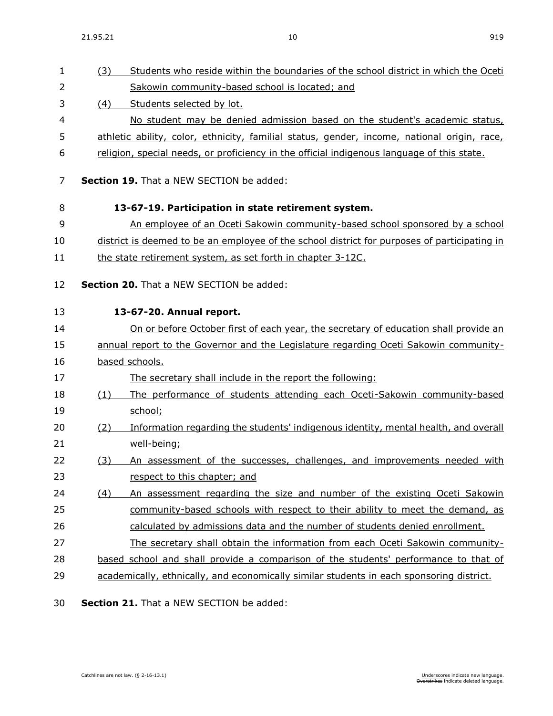| $\mathbf{1}$   | (3) | Students who reside within the boundaries of the school district in which the Oceti          |
|----------------|-----|----------------------------------------------------------------------------------------------|
| 2              |     | Sakowin community-based school is located; and                                               |
| 3              | (4) | Students selected by lot.                                                                    |
| 4              |     | No student may be denied admission based on the student's academic status,                   |
| 5              |     | athletic ability, color, ethnicity, familial status, gender, income, national origin, race,  |
| 6              |     | religion, special needs, or proficiency in the official indigenous language of this state.   |
| 7              |     | <b>Section 19.</b> That a NEW SECTION be added:                                              |
| 8              |     | 13-67-19. Participation in state retirement system.                                          |
| 9              |     | An employee of an Oceti Sakowin community-based school sponsored by a school                 |
| 10             |     | district is deemed to be an employee of the school district for purposes of participating in |
| 11             |     | the state retirement system, as set forth in chapter 3-12C.                                  |
| 12             |     | Section 20. That a NEW SECTION be added:                                                     |
| 13             |     | 13-67-20. Annual report.                                                                     |
| 14             |     | On or before October first of each year, the secretary of education shall provide an         |
| 15             |     | annual report to the Governor and the Legislature regarding Oceti Sakowin community-         |
| 16             |     | based schools.                                                                               |
| 17             |     | The secretary shall include in the report the following:                                     |
| 18             | (1) | The performance of students attending each Oceti-Sakowin community-based                     |
| 19             |     | school;                                                                                      |
| 20             | (2) | Information regarding the students' indigenous identity, mental health, and overall          |
| 21             |     | well-being;                                                                                  |
| 22             | (3) | An assessment of the successes, challenges, and improvements needed with                     |
| 23             |     | respect to this chapter; and                                                                 |
| 24             | (4) | An assessment regarding the size and number of the existing Oceti Sakowin                    |
| 25             |     | community-based schools with respect to their ability to meet the demand, as                 |
| 26             |     | calculated by admissions data and the number of students denied enrollment.                  |
| 27             |     | The secretary shall obtain the information from each Oceti Sakowin community-                |
| 28             |     | based school and shall provide a comparison of the students' performance to that of          |
| 29             |     | academically, ethnically, and economically similar students in each sponsoring district.     |
| $\overline{2}$ |     | $\text{Hian}$ 21 That a NEW CECTION be added.                                                |

30 **Section 21.** That a NEW SECTION be added: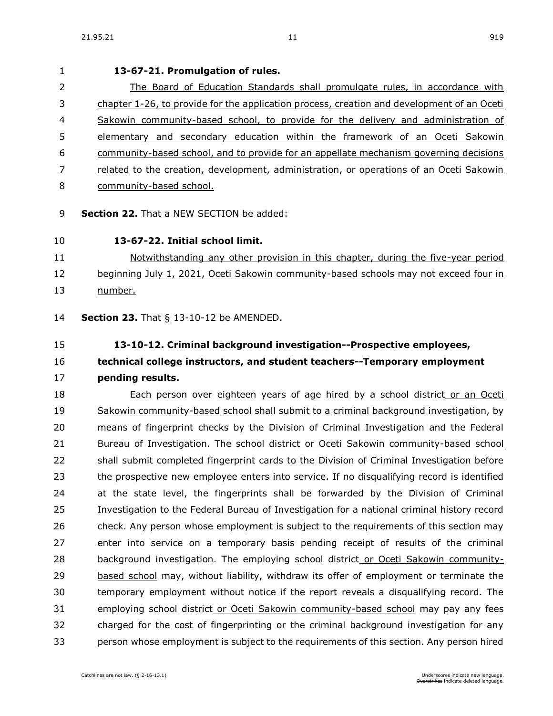# **13-67-21. Promulgation of rules.** The Board of Education Standards shall promulgate rules, in accordance with chapter [1-26,](https://sdlegislature.gov/Statutes/Codified_Laws/DisplayStatute.aspx?Type=Statute&Statute=1-26) to provide for the application process, creation and development of an Oceti Sakowin community-based school, to provide for the delivery and administration of elementary and secondary education within the framework of an Oceti Sakowin community-based school, and to provide for an appellate mechanism governing decisions related to the creation, development, administration, or operations of an Oceti Sakowin community-based school.

**Section 22.** That a NEW SECTION be added:

### **13-67-22. Initial school limit.**

## Notwithstanding any other provision in this chapter, during the five-year period 12 beginning July 1, 2021, Oceti Sakowin community-based schools may not exceed four in number.

**Section 23.** [That § 13-10-12 be AMENDED.](https://sdlegislature.gov/Statutes/Codified_Laws/DisplayStatute.aspx?Type=Statute&Statute=13-10-12)

### **[13-10-12. C](https://sdlegislature.gov/Statutes/Codified_Laws/DisplayStatute.aspx?Type=Statute&Statute=13-10-12)riminal background investigation--Prospective employees, technical college instructors, and student teachers--Temporary employment pending results.**

18 Each person over eighteen years of age hired by a school district or an Oceti Sakowin community-based school shall submit to a criminal background investigation, by means of fingerprint checks by the Division of Criminal Investigation and the Federal Bureau of Investigation. The school district or Oceti Sakowin community-based school shall submit completed fingerprint cards to the Division of Criminal Investigation before the prospective new employee enters into service. If no disqualifying record is identified at the state level, the fingerprints shall be forwarded by the Division of Criminal Investigation to the Federal Bureau of Investigation for a national criminal history record check. Any person whose employment is subject to the requirements of this section may enter into service on a temporary basis pending receipt of results of the criminal background investigation. The employing school district or Oceti Sakowin community- based school may, without liability, withdraw its offer of employment or terminate the temporary employment without notice if the report reveals a disqualifying record. The employing school district or Oceti Sakowin community-based school may pay any fees charged for the cost of fingerprinting or the criminal background investigation for any person whose employment is subject to the requirements of this section. Any person hired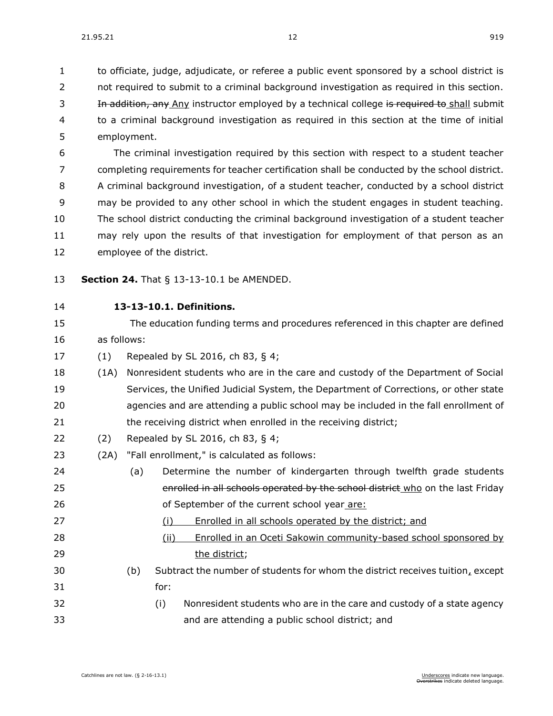to officiate, judge, adjudicate, or referee a public event sponsored by a school district is 2 not required to submit to a criminal background investigation as required in this section. 3 In addition, any Any instructor employed by a technical college is required to shall submit to a criminal background investigation as required in this section at the time of initial employment.

 The criminal investigation required by this section with respect to a student teacher completing requirements for teacher certification shall be conducted by the school district. A criminal background investigation, of a student teacher, conducted by a school district may be provided to any other school in which the student engages in student teaching. The school district conducting the criminal background investigation of a student teacher may rely upon the results of that investigation for employment of that person as an employee of the district.

- **Section 24.** [That § 13-13-10.1 be AMENDED.](https://sdlegislature.gov/Statutes/Codified_Laws/DisplayStatute.aspx?Type=Statute&Statute=13-13-10.1)
- 

### **[13-13-10.1. D](https://sdlegislature.gov/Statutes/Codified_Laws/DisplayStatute.aspx?Type=Statute&Statute=13-13-10.1)efinitions.**

 The education funding terms and procedures referenced in this chapter are defined as follows:

- (1) Repealed by SL 2016, ch 83, § 4;
- (1A) Nonresident students who are in the care and custody of the Department of Social Services, the Unified Judicial System, the Department of Corrections, or other state agencies and are attending a public school may be included in the fall enrollment of 21 the receiving district when enrolled in the receiving district;
- (2) Repealed by SL 2016, ch 83, § 4;
- (2A) "Fall enrollment," is calculated as follows:
- (a) Determine the number of kindergarten through twelfth grade students 25 enrolled in all schools operated by the school district who on the last Friday of September of the current school year are:
- (i) Enrolled in all schools operated by the district; and
- (ii) Enrolled in an Oceti Sakowin community-based school sponsored by 29 the district:
- (b) Subtract the number of students for whom the district receives tuition, except for:
- (i) Nonresident students who are in the care and custody of a state agency and are attending a public school district; and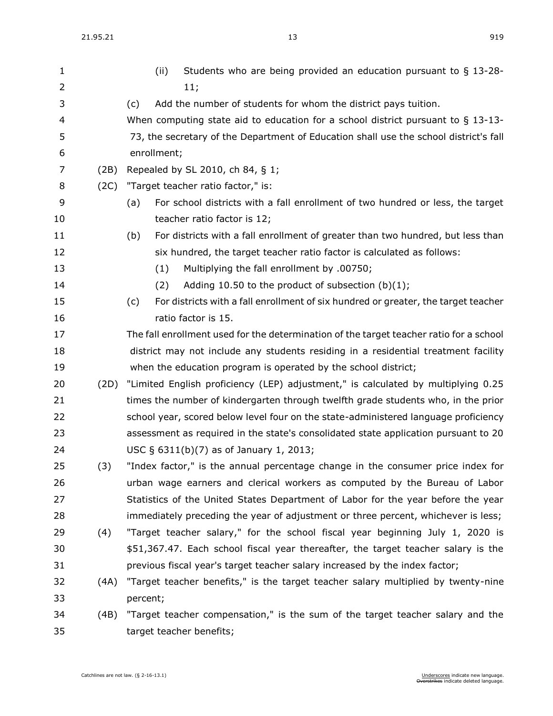| $\mathbf{1}$   |      | Students who are being provided an education pursuant to § 13-28-<br>(ii)                 |
|----------------|------|-------------------------------------------------------------------------------------------|
| $\overline{2}$ |      | 11;                                                                                       |
| 3              |      | Add the number of students for whom the district pays tuition.<br>(c)                     |
| 4              |      | When computing state aid to education for a school district pursuant to $\S$ 13-13-       |
| 5              |      | 73, the secretary of the Department of Education shall use the school district's fall     |
| 6              |      | enrollment;                                                                               |
| 7              | (2B) | Repealed by SL 2010, ch 84, § 1;                                                          |
| 8              | (2C) | "Target teacher ratio factor," is:                                                        |
| 9              |      | For school districts with a fall enrollment of two hundred or less, the target<br>(a)     |
| 10             |      | teacher ratio factor is 12;                                                               |
| 11             |      | For districts with a fall enrollment of greater than two hundred, but less than<br>(b)    |
| 12             |      | six hundred, the target teacher ratio factor is calculated as follows:                    |
| 13             |      | Multiplying the fall enrollment by .00750;<br>(1)                                         |
| 14             |      | Adding 10.50 to the product of subsection $(b)(1)$ ;<br>(2)                               |
| 15             |      | For districts with a fall enrollment of six hundred or greater, the target teacher<br>(c) |
| 16             |      | ratio factor is 15.                                                                       |
| 17             |      | The fall enrollment used for the determination of the target teacher ratio for a school   |
| 18             |      | district may not include any students residing in a residential treatment facility        |
| 19             |      | when the education program is operated by the school district;                            |
| 20             | (2D) | "Limited English proficiency (LEP) adjustment," is calculated by multiplying 0.25         |
| 21             |      | times the number of kindergarten through twelfth grade students who, in the prior         |
| 22             |      | school year, scored below level four on the state-administered language proficiency       |
| 23             |      | assessment as required in the state's consolidated state application pursuant to 20       |
| 24             |      | USC § 6311(b)(7) as of January 1, 2013;                                                   |
| 25             | (3)  | "Index factor," is the annual percentage change in the consumer price index for           |
| 26             |      | urban wage earners and clerical workers as computed by the Bureau of Labor                |
| 27             |      | Statistics of the United States Department of Labor for the year before the year          |
| 28             |      | immediately preceding the year of adjustment or three percent, whichever is less;         |
| 29             | (4)  | "Target teacher salary," for the school fiscal year beginning July 1, 2020 is             |
| 30             |      | \$51,367.47. Each school fiscal year thereafter, the target teacher salary is the         |
| 31             |      | previous fiscal year's target teacher salary increased by the index factor;               |
| 32             | (4A) | "Target teacher benefits," is the target teacher salary multiplied by twenty-nine         |
| 33             |      | percent;                                                                                  |
| 34             | (4B) | "Target teacher compensation," is the sum of the target teacher salary and the            |
| 35             |      | target teacher benefits;                                                                  |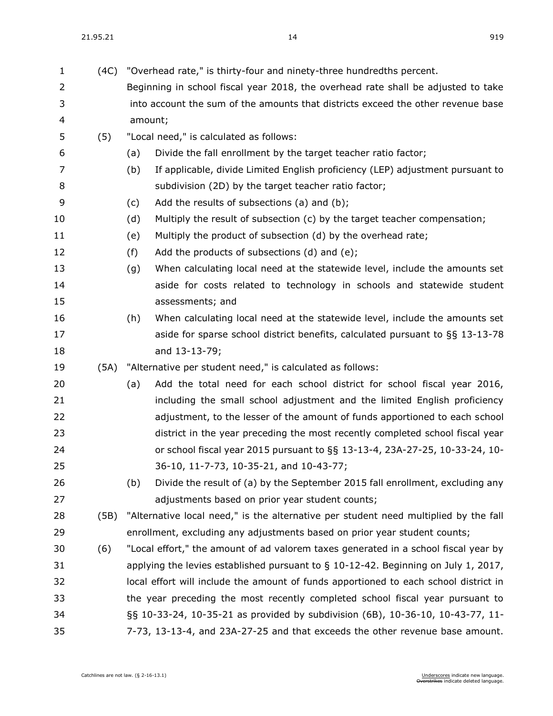| $\mathbf{1}$ | (4C) | "Overhead rate," is thirty-four and ninety-three hundredths percent.                  |  |  |  |
|--------------|------|---------------------------------------------------------------------------------------|--|--|--|
| 2            |      | Beginning in school fiscal year 2018, the overhead rate shall be adjusted to take     |  |  |  |
| 3            |      | into account the sum of the amounts that districts exceed the other revenue base      |  |  |  |
| 4            |      | amount;                                                                               |  |  |  |
| 5            | (5)  | "Local need," is calculated as follows:                                               |  |  |  |
| 6            |      | Divide the fall enrollment by the target teacher ratio factor;<br>(a)                 |  |  |  |
| 7            |      | (b)<br>If applicable, divide Limited English proficiency (LEP) adjustment pursuant to |  |  |  |
| 8            |      | subdivision (2D) by the target teacher ratio factor;                                  |  |  |  |
| 9            |      | Add the results of subsections (a) and (b);<br>(c)                                    |  |  |  |
| 10           |      | Multiply the result of subsection (c) by the target teacher compensation;<br>(d)      |  |  |  |
| 11           |      | Multiply the product of subsection (d) by the overhead rate;<br>(e)                   |  |  |  |
| 12           |      | Add the products of subsections (d) and (e);<br>(f)                                   |  |  |  |
| 13           |      | (g)<br>When calculating local need at the statewide level, include the amounts set    |  |  |  |
| 14           |      | aside for costs related to technology in schools and statewide student                |  |  |  |
| 15           |      | assessments; and                                                                      |  |  |  |
| 16           |      | When calculating local need at the statewide level, include the amounts set<br>(h)    |  |  |  |
| 17           |      | aside for sparse school district benefits, calculated pursuant to §§ 13-13-78         |  |  |  |
| 18           |      | and 13-13-79;                                                                         |  |  |  |
| 19           | (5A) | "Alternative per student need," is calculated as follows:                             |  |  |  |
| 20           |      | Add the total need for each school district for school fiscal year 2016,<br>(a)       |  |  |  |
| 21           |      | including the small school adjustment and the limited English proficiency             |  |  |  |
| 22           |      | adjustment, to the lesser of the amount of funds apportioned to each school           |  |  |  |
| 23           |      | district in the year preceding the most recently completed school fiscal year         |  |  |  |
| 24           |      | or school fiscal year 2015 pursuant to §§ 13-13-4, 23A-27-25, 10-33-24, 10-           |  |  |  |
| 25           |      | 36-10, 11-7-73, 10-35-21, and 10-43-77;                                               |  |  |  |
| 26           |      | Divide the result of (a) by the September 2015 fall enrollment, excluding any<br>(b)  |  |  |  |
| 27           |      | adjustments based on prior year student counts;                                       |  |  |  |
| 28           | (5B) | "Alternative local need," is the alternative per student need multiplied by the fall  |  |  |  |
| 29           |      | enrollment, excluding any adjustments based on prior year student counts;             |  |  |  |
| 30           | (6)  | "Local effort," the amount of ad valorem taxes generated in a school fiscal year by   |  |  |  |
| 31           |      | applying the levies established pursuant to $\S$ 10-12-42. Beginning on July 1, 2017, |  |  |  |
| 32           |      | local effort will include the amount of funds apportioned to each school district in  |  |  |  |
| 33           |      | the year preceding the most recently completed school fiscal year pursuant to         |  |  |  |
| 34           |      | §§ 10-33-24, 10-35-21 as provided by subdivision (6B), 10-36-10, 10-43-77, 11-        |  |  |  |
| 35           |      | 7-73, 13-13-4, and 23A-27-25 and that exceeds the other revenue base amount.          |  |  |  |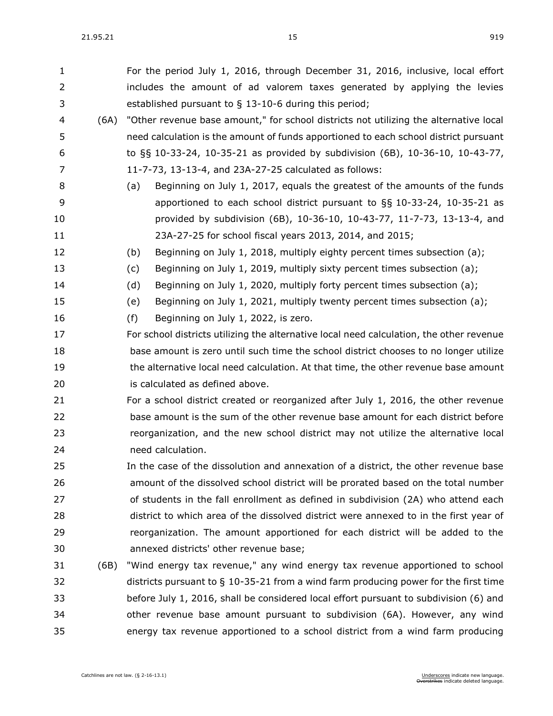For the period July 1, 2016, through December 31, 2016, inclusive, local effort includes the amount of ad valorem taxes generated by applying the levies established pursuant to § [13-10-6](https://sdlegislature.gov/Statutes/Codified_Laws/DisplayStatute.aspx?Type=Statute&Statute=13-10-6) during this period; (6A) "Other revenue base amount," for school districts not utilizing the alternative local need calculation is the amount of funds apportioned to each school district pursuant to §§ [10-33-24,](https://sdlegislature.gov/Statutes/Codified_Laws/DisplayStatute.aspx?Type=Statute&Statute=10-33-24) [10-35-21](https://sdlegislature.gov/Statutes/Codified_Laws/DisplayStatute.aspx?Type=Statute&Statute=10-35-21) as provided by subdivision (6B), [10-36-10,](https://sdlegislature.gov/Statutes/Codified_Laws/DisplayStatute.aspx?Type=Statute&Statute=10-36-10) [10-43-77,](https://sdlegislature.gov/Statutes/Codified_Laws/DisplayStatute.aspx?Type=Statute&Statute=10-43-77) [11-7-73,](https://sdlegislature.gov/Statutes/Codified_Laws/DisplayStatute.aspx?Type=Statute&Statute=11-7-73) [13-13-4,](https://sdlegislature.gov/Statutes/Codified_Laws/DisplayStatute.aspx?Type=Statute&Statute=13-13-4) and [23A-27-25](https://sdlegislature.gov/Statutes/Codified_Laws/DisplayStatute.aspx?Type=Statute&Statute=23A-27-25) calculated as follows: (a) Beginning on July 1, 2017, equals the greatest of the amounts of the funds apportioned to each school district pursuant to §§ [10-33-24,](https://sdlegislature.gov/Statutes/Codified_Laws/DisplayStatute.aspx?Type=Statute&Statute=10-33-24) [10-35-21](https://sdlegislature.gov/Statutes/Codified_Laws/DisplayStatute.aspx?Type=Statute&Statute=10-35-21) as provided by subdivision (6B), [10-36-10,](https://sdlegislature.gov/Statutes/Codified_Laws/DisplayStatute.aspx?Type=Statute&Statute=10-36-10) [10-43-77,](https://sdlegislature.gov/Statutes/Codified_Laws/DisplayStatute.aspx?Type=Statute&Statute=10-43-77) [11-7-73,](https://sdlegislature.gov/Statutes/Codified_Laws/DisplayStatute.aspx?Type=Statute&Statute=11-7-73) [13-13-4,](https://sdlegislature.gov/Statutes/Codified_Laws/DisplayStatute.aspx?Type=Statute&Statute=13-13-4) and [23A-27-25](https://sdlegislature.gov/Statutes/Codified_Laws/DisplayStatute.aspx?Type=Statute&Statute=23A-27-25) for school fiscal years 2013, 2014, and 2015; (b) Beginning on July 1, 2018, multiply eighty percent times subsection (a); (c) Beginning on July 1, 2019, multiply sixty percent times subsection (a); (d) Beginning on July 1, 2020, multiply forty percent times subsection (a); (e) Beginning on July 1, 2021, multiply twenty percent times subsection (a); (f) Beginning on July 1, 2022, is zero. For school districts utilizing the alternative local need calculation, the other revenue base amount is zero until such time the school district chooses to no longer utilize the alternative local need calculation. At that time, the other revenue base amount is calculated as defined above. For a school district created or reorganized after July 1, 2016, the other revenue base amount is the sum of the other revenue base amount for each district before reorganization, and the new school district may not utilize the alternative local need calculation. In the case of the dissolution and annexation of a district, the other revenue base amount of the dissolved school district will be prorated based on the total number of students in the fall enrollment as defined in subdivision (2A) who attend each district to which area of the dissolved district were annexed to in the first year of reorganization. The amount apportioned for each district will be added to the annexed districts' other revenue base; (6B) "Wind energy tax revenue," any wind energy tax revenue apportioned to school districts pursuant to § [10-35-21](https://sdlegislature.gov/Statutes/Codified_Laws/DisplayStatute.aspx?Type=Statute&Statute=10-35-21) from a wind farm producing power for the first time before July 1, 2016, shall be considered local effort pursuant to subdivision (6) and other revenue base amount pursuant to subdivision (6A). However, any wind

energy tax revenue apportioned to a school district from a wind farm producing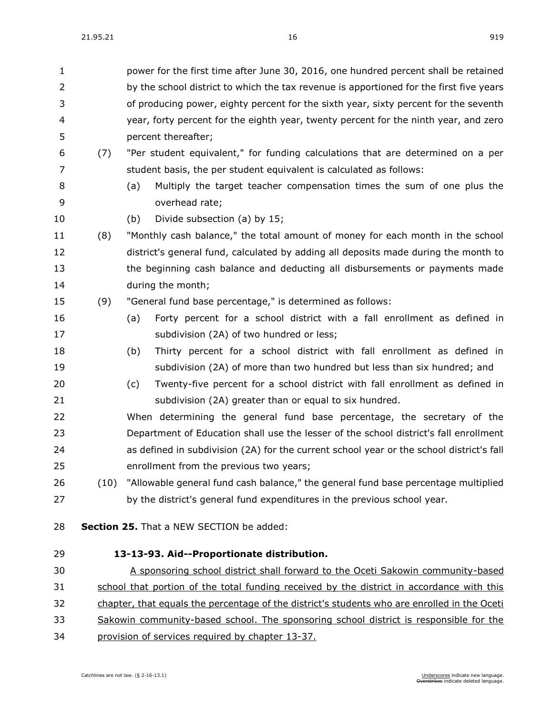| $\mathbf{1}$   |      |                                                                                         | power for the first time after June 30, 2016, one hundred percent shall be retained          |  |  |  |
|----------------|------|-----------------------------------------------------------------------------------------|----------------------------------------------------------------------------------------------|--|--|--|
| $\overline{2}$ |      | by the school district to which the tax revenue is apportioned for the first five years |                                                                                              |  |  |  |
| 3              |      | of producing power, eighty percent for the sixth year, sixty percent for the seventh    |                                                                                              |  |  |  |
| 4              |      | year, forty percent for the eighth year, twenty percent for the ninth year, and zero    |                                                                                              |  |  |  |
| 5              |      |                                                                                         | percent thereafter;                                                                          |  |  |  |
| 6              | (7)  |                                                                                         | "Per student equivalent," for funding calculations that are determined on a per              |  |  |  |
| 7              |      |                                                                                         | student basis, the per student equivalent is calculated as follows:                          |  |  |  |
| 8              |      | (a)                                                                                     | Multiply the target teacher compensation times the sum of one plus the                       |  |  |  |
| 9              |      |                                                                                         | overhead rate;                                                                               |  |  |  |
| 10             |      | (b)                                                                                     | Divide subsection (a) by 15;                                                                 |  |  |  |
| 11             | (8)  |                                                                                         | "Monthly cash balance," the total amount of money for each month in the school               |  |  |  |
| 12             |      |                                                                                         | district's general fund, calculated by adding all deposits made during the month to          |  |  |  |
| 13             |      |                                                                                         | the beginning cash balance and deducting all disbursements or payments made                  |  |  |  |
| 14             |      |                                                                                         | during the month;                                                                            |  |  |  |
| 15             | (9)  |                                                                                         | "General fund base percentage," is determined as follows:                                    |  |  |  |
| 16             |      | (a)                                                                                     | Forty percent for a school district with a fall enrollment as defined in                     |  |  |  |
| 17             |      |                                                                                         | subdivision (2A) of two hundred or less;                                                     |  |  |  |
| 18             |      | (b)                                                                                     | Thirty percent for a school district with fall enrollment as defined in                      |  |  |  |
| 19             |      |                                                                                         | subdivision (2A) of more than two hundred but less than six hundred; and                     |  |  |  |
| 20             |      | (c)                                                                                     | Twenty-five percent for a school district with fall enrollment as defined in                 |  |  |  |
| 21             |      |                                                                                         | subdivision (2A) greater than or equal to six hundred.                                       |  |  |  |
| 22             |      |                                                                                         | When determining the general fund base percentage, the secretary of the                      |  |  |  |
| 23             |      |                                                                                         | Department of Education shall use the lesser of the school district's fall enrollment        |  |  |  |
| 24             |      |                                                                                         | as defined in subdivision (2A) for the current school year or the school district's fall     |  |  |  |
| 25             |      |                                                                                         | enrollment from the previous two years;                                                      |  |  |  |
| 26             | (10) |                                                                                         | "Allowable general fund cash balance," the general fund base percentage multiplied           |  |  |  |
| 27             |      |                                                                                         | by the district's general fund expenditures in the previous school year.                     |  |  |  |
| 28             |      |                                                                                         | Section 25. That a NEW SECTION be added:                                                     |  |  |  |
| 29             |      |                                                                                         | 13-13-93. Aid--Proportionate distribution.                                                   |  |  |  |
| 30             |      |                                                                                         | A sponsoring school district shall forward to the Oceti Sakowin community-based              |  |  |  |
| 31             |      |                                                                                         | school that portion of the total funding received by the district in accordance with this    |  |  |  |
| 32             |      |                                                                                         | chapter, that equals the percentage of the district's students who are enrolled in the Oceti |  |  |  |

- 33 Sakowin community-based school. The sponsoring school district is responsible for the
- provision of services required by chapter [13-37.](https://sdlegislature.gov/Statutes/Codified_Laws/DisplayStatute.aspx?Type=Statute&Statute=13-37)